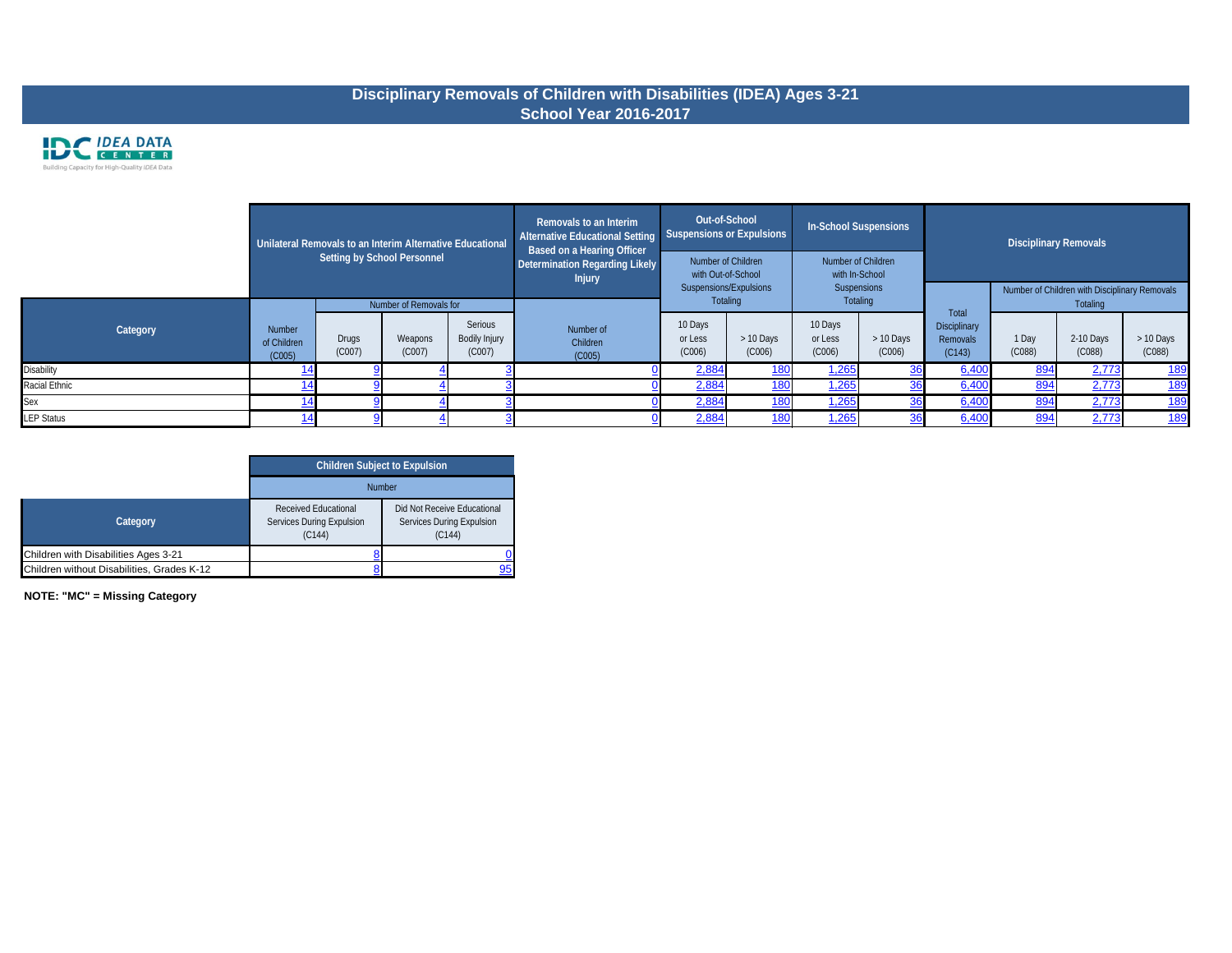### **Disciplinary Removals of Children with Disabilities (IDEA) Ages 3-21 School Year 2016-2017**



|                   |                                        |                 | Unilateral Removals to an Interim Alternative Educational<br>Setting by School Personnel |                                    | Removals to an Interim<br>Alternative Educational Setting<br><b>Based on a Hearing Officer</b><br>Determination Regarding Likely<br><b>Injury</b> | Out-of-School<br>Suspensions or Expulsions<br>Number of Children<br>with Out-of-School |                     | <b>In-School Suspensions</b><br>Number of Children<br>with In-School |                     |                                                    |                 | <b>Disciplinary Removals</b>                              |                     |
|-------------------|----------------------------------------|-----------------|------------------------------------------------------------------------------------------|------------------------------------|---------------------------------------------------------------------------------------------------------------------------------------------------|----------------------------------------------------------------------------------------|---------------------|----------------------------------------------------------------------|---------------------|----------------------------------------------------|-----------------|-----------------------------------------------------------|---------------------|
|                   |                                        |                 | Number of Removals for                                                                   |                                    |                                                                                                                                                   | Suspensions/Expulsions<br>Totaling                                                     |                     | Suspensions<br>Totaling                                              |                     |                                                    |                 | Number of Children with Disciplinary Removals<br>Totaling |                     |
| Category          | <b>Number</b><br>of Children<br>(C005) | Drugs<br>(C007) | Weapons<br>(C007)                                                                        | Serious<br>Bodily Injury<br>(C007) | Number of<br>Children<br>(C005)                                                                                                                   | 10 Days<br>or Less<br>(C006)                                                           | > 10 Days<br>(C006) | 10 Days<br>or Less<br>(C006)                                         | > 10 Days<br>(C006) | <b>Total</b><br>Disciplinary<br>Removals<br>(C143) | 1 Day<br>(C088) | 2-10 Days<br>(C088)                                       | > 10 Days<br>(C088) |
| <b>Disability</b> |                                        |                 |                                                                                          |                                    |                                                                                                                                                   | 2,884                                                                                  | <u> 180</u>         | 1,265                                                                |                     | 6,400                                              | 894             | 2,773                                                     | <u>189</u>          |
| Racial Ethnic     |                                        |                 |                                                                                          |                                    |                                                                                                                                                   | 2,884                                                                                  | <u> 180</u>         | 1,265                                                                |                     | 6,400                                              | 894             | 2,773                                                     | <u>189</u>          |
| Sex               |                                        |                 |                                                                                          |                                    |                                                                                                                                                   | 2,884                                                                                  | <u> 180</u>         | <u>1,265</u>                                                         |                     | 6,400                                              | 894             | 2,773                                                     | <u>189</u>          |
| <b>LEP Status</b> |                                        |                 |                                                                                          |                                    |                                                                                                                                                   | 2,884                                                                                  | 180                 | 1,265                                                                |                     | 6,400                                              | 894             | 2,773                                                     | <u>189</u>          |

|                                            | <b>Children Subject to Expulsion</b>                                      |                                                                           |
|--------------------------------------------|---------------------------------------------------------------------------|---------------------------------------------------------------------------|
|                                            | <b>Number</b>                                                             |                                                                           |
| Category                                   | <b>Received Educational</b><br><b>Services During Expulsion</b><br>(C144) | Did Not Receive Educational<br><b>Services During Expulsion</b><br>(C144) |
| Children with Disabilities Ages 3-21       |                                                                           |                                                                           |
| Children without Disabilities, Grades K-12 |                                                                           | 95                                                                        |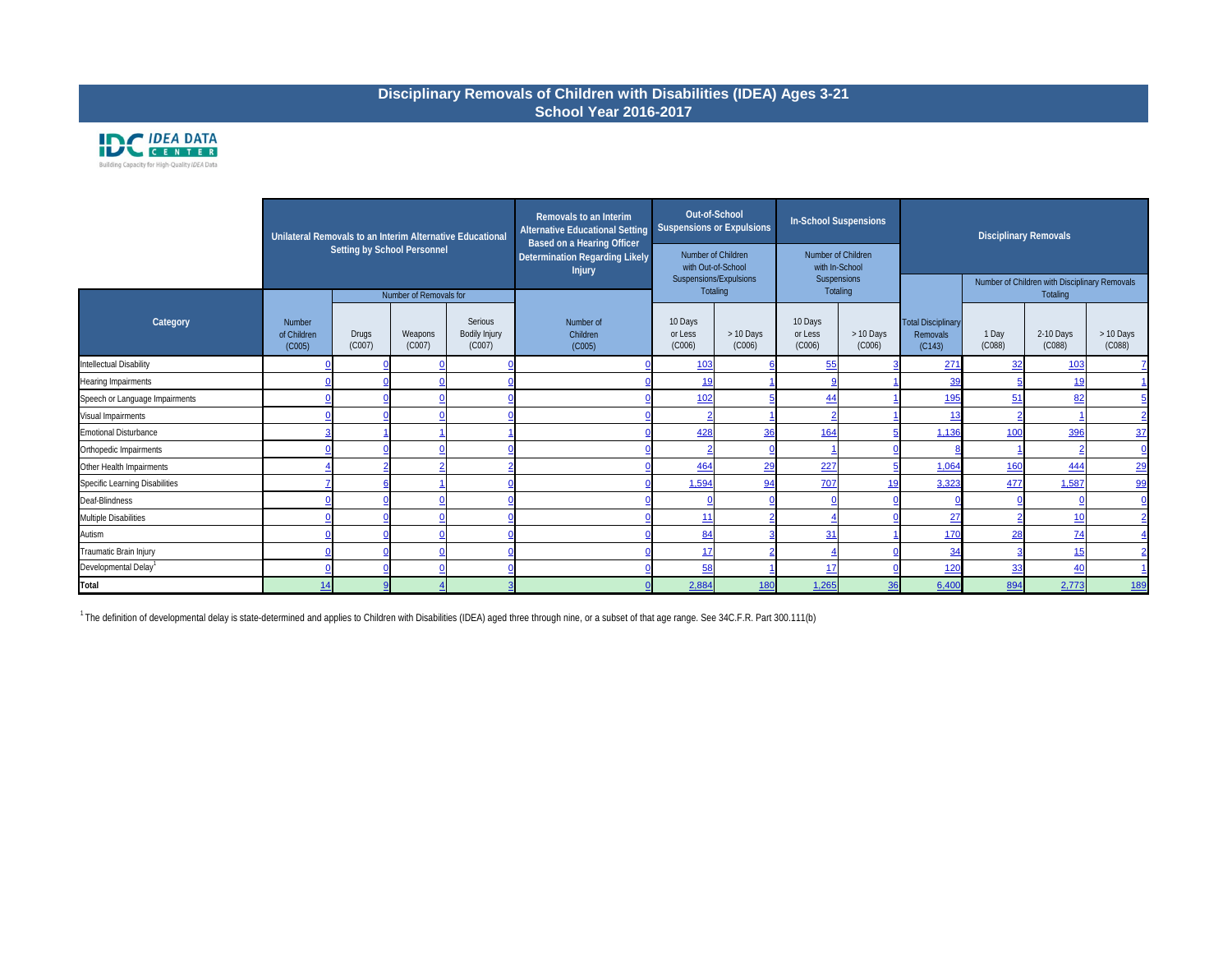|                                  | Unilateral Removals to an Interim Alternative Educational |                                    |                        |                                           | Removals to an Interim<br><b>Alternative Educational Setting</b><br>Based on a Hearing Officer | Out-of-School                            | <b>Suspensions or Expulsions</b> |                                      | <b>In-School Suspensions</b> |                                                 | <b>Disciplinary Removals</b> |                                                           |                                     |
|----------------------------------|-----------------------------------------------------------|------------------------------------|------------------------|-------------------------------------------|------------------------------------------------------------------------------------------------|------------------------------------------|----------------------------------|--------------------------------------|------------------------------|-------------------------------------------------|------------------------------|-----------------------------------------------------------|-------------------------------------|
|                                  |                                                           | <b>Setting by School Personnel</b> |                        |                                           | <b>Determination Regarding Likely</b><br><b>Injury</b>                                         | Number of Children<br>with Out-of-School |                                  | Number of Children<br>with In-School |                              |                                                 |                              |                                                           |                                     |
|                                  |                                                           |                                    | Number of Removals for |                                           |                                                                                                | Suspensions/Expulsions<br>Totaling       |                                  | Suspensions                          | Totaling                     |                                                 |                              | Number of Children with Disciplinary Removals<br>Totaling |                                     |
| Category                         | <b>Number</b><br>of Children<br>(C005)                    | <b>Drugs</b><br>(C007)             | Weapons<br>(C007)      | Serious<br><b>Bodily Injury</b><br>(C007) | Number of<br>Children<br>(C005)                                                                | 10 Days<br>or Less<br>(C006)             | > 10 Days<br>(C006)              | 10 Days<br>or Less<br>(C006)         | > 10 Days<br>(C006)          | <b>Total Disciplinary</b><br>Removals<br>(C143) | 1 Day<br>(C088)              | 2-10 Days<br>(C088)                                       | > 10 Days<br>(C088)                 |
| Intellectual Disability          |                                                           |                                    |                        |                                           |                                                                                                | <u>103</u>                               |                                  | 55                                   |                              | 271                                             | 32                           | 103                                                       |                                     |
| Hearing Impairments              |                                                           |                                    |                        |                                           |                                                                                                | <u>19</u>                                |                                  |                                      |                              | 39                                              |                              | <u>19</u>                                                 |                                     |
| Speech or Language Impairments   |                                                           |                                    |                        |                                           |                                                                                                | 102                                      |                                  | 44                                   |                              | <u>195</u>                                      | 51                           | 82                                                        | 5                                   |
| Visual Impairments               |                                                           |                                    |                        |                                           |                                                                                                |                                          |                                  |                                      |                              |                                                 |                              |                                                           | $\overline{2}$                      |
| Emotional Disturbance            |                                                           |                                    |                        |                                           |                                                                                                | 428                                      | 36                               | <u>164</u>                           |                              | 1,136                                           | 10 <sub>C</sub>              | 396                                                       | $\frac{37}{2}$                      |
| Orthopedic Impairments           |                                                           |                                    |                        |                                           |                                                                                                |                                          |                                  |                                      |                              |                                                 |                              |                                                           | $\overline{\mathsf{C}}$             |
| Other Health Impairments         |                                                           |                                    |                        |                                           |                                                                                                | <u>464</u>                               | 29                               | 227                                  |                              | 1,064                                           | <u>160</u>                   | 444                                                       | $rac{2c}{2c}$                       |
| Specific Learning Disabilities   |                                                           |                                    |                        |                                           |                                                                                                | 1,594                                    | 94                               | 707                                  | 19                           | 3,323                                           | 477                          | 1,587                                                     | $\overline{96}$                     |
| Deaf-Blindness                   |                                                           |                                    |                        |                                           |                                                                                                |                                          |                                  |                                      |                              |                                                 |                              |                                                           | $\overline{\underline{\mathsf{C}}}$ |
| Multiple Disabilities            |                                                           |                                    |                        |                                           |                                                                                                | 11                                       |                                  |                                      |                              | 27                                              |                              | 10                                                        | $\overline{2}$                      |
| Autism                           |                                                           |                                    |                        |                                           |                                                                                                | 84                                       |                                  | 31                                   |                              | <u>170</u>                                      | 28                           | $\frac{74}{1}$                                            |                                     |
| Traumatic Brain Injury           |                                                           |                                    |                        |                                           |                                                                                                | 17                                       |                                  |                                      |                              | 34                                              |                              | 15                                                        |                                     |
| Developmental Delay <sup>1</sup> |                                                           |                                    |                        |                                           |                                                                                                | 58                                       |                                  | -17                                  |                              | 120                                             | 33                           | 40                                                        |                                     |
| Total                            |                                                           |                                    |                        |                                           |                                                                                                | 2,884                                    | 180                              | 1,265                                | 36                           | 6,400                                           | 894                          | 2,773                                                     | <u>189</u>                          |

<sup>1</sup> The definition of developmental delay is state-determined and applies to Children with Disabilities (IDEA) aged three through nine, or a subset of that age range. See 34C.F.R. Part 300.111(b)

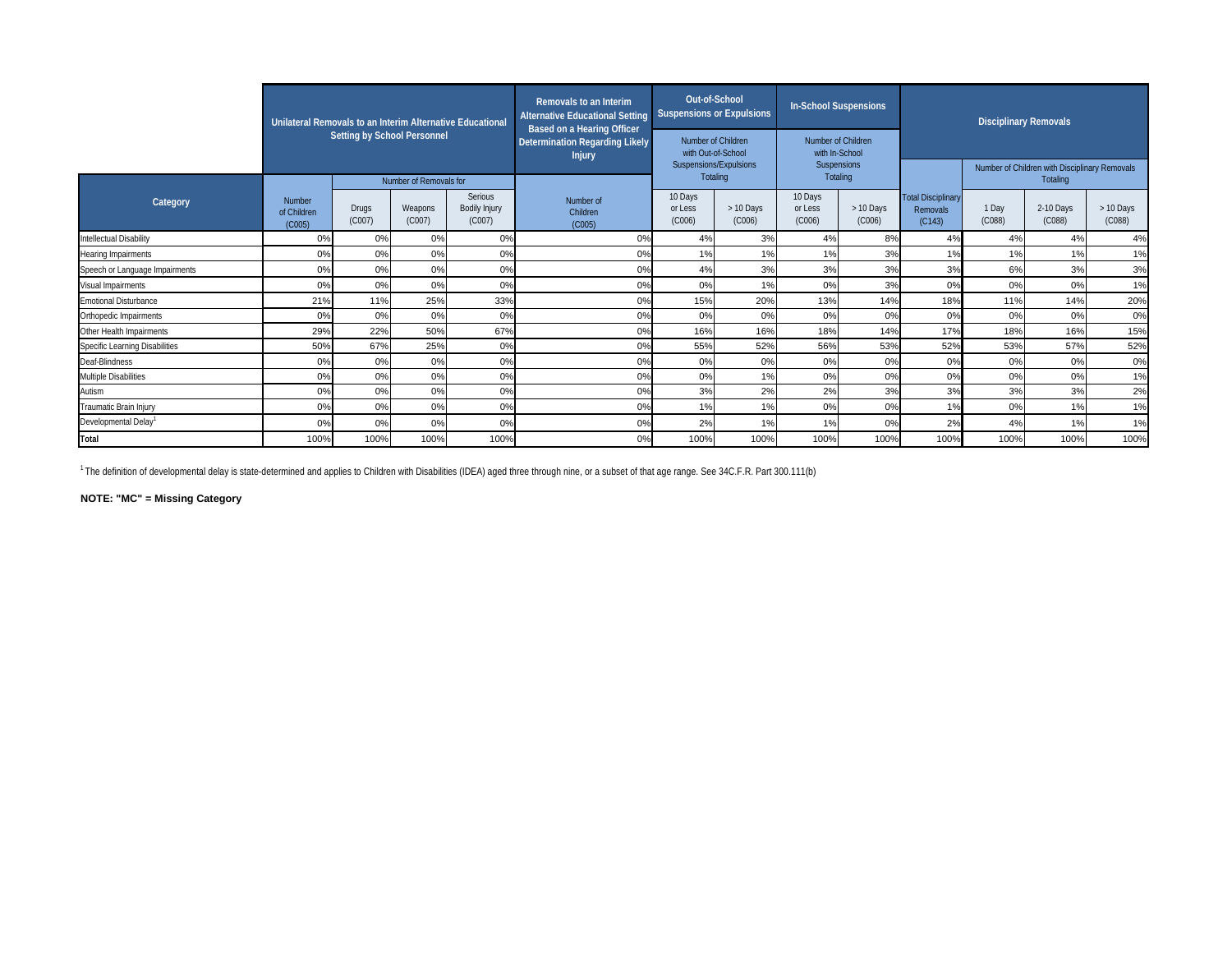|                                  | Unilateral Removals to an Interim Alternative Educational |                                    |                        |                                           | Removals to an Interim<br><b>Alternative Educational Setting</b><br>Based on a Hearing Officer |                                                                    | Out-of-School<br><b>Suspensions or Expulsions</b> | <b>In-School Suspensions</b>                        |                     |                                                 | <b>Disciplinary Removals</b> |                                                           |                     |
|----------------------------------|-----------------------------------------------------------|------------------------------------|------------------------|-------------------------------------------|------------------------------------------------------------------------------------------------|--------------------------------------------------------------------|---------------------------------------------------|-----------------------------------------------------|---------------------|-------------------------------------------------|------------------------------|-----------------------------------------------------------|---------------------|
|                                  |                                                           | <b>Setting by School Personnel</b> |                        |                                           | <b>Determination Regarding Likely</b><br><b>Injury</b>                                         | Number of Children<br>with Out-of-School<br>Suspensions/Expulsions |                                                   | Number of Children<br>with In-School<br>Suspensions |                     |                                                 |                              |                                                           |                     |
|                                  |                                                           |                                    | Number of Removals for |                                           |                                                                                                |                                                                    | Totaling                                          | Totaling                                            |                     |                                                 |                              | Number of Children with Disciplinary Removals<br>Totaling |                     |
| Category                         | Number<br>of Children<br>(C005)                           | <b>Drugs</b><br>(C007)             | Weapons<br>(C007)      | Serious<br><b>Bodily Injury</b><br>(C007) | Number of<br>Children<br>(C005)                                                                | 10 Days<br>or Less<br>(C006)                                       | > 10 Days<br>(C006)                               | 10 Days<br>or Less<br>(C006)                        | > 10 Days<br>(C006) | <b>Total Disciplinary</b><br>Removals<br>(C143) | 1 Day<br>(C088)              | 2-10 Days<br>(C088)                                       | > 10 Days<br>(C088) |
| Intellectual Disability          | 0%                                                        | 0%                                 | 0%                     | 0%                                        | 0%                                                                                             | 4%                                                                 | 3%                                                | 4%                                                  | 8%                  | 4%                                              | 4%                           | 4%                                                        | 4%                  |
| <b>Hearing Impairments</b>       | 0%                                                        | 0%                                 | 0%                     | 0%                                        | 0%                                                                                             | 1%                                                                 | 1%                                                | 1%                                                  | 3%                  | 1%                                              | 1%                           | 1%                                                        | 1%                  |
| Speech or Language Impairments   | 0%                                                        | 0%                                 | 0%                     | 0%                                        | 0%                                                                                             | 4%                                                                 | 3%                                                | 3%                                                  | 3%                  | 3%                                              | 6%                           | 3%                                                        | 3%                  |
| Visual Impairments               | 0%                                                        | 0%                                 | 0%                     | 0%                                        | 0%                                                                                             | 0%                                                                 | 1%                                                | 0%                                                  | 3%                  | 0%                                              | 0%                           | 0%                                                        | 1%                  |
| <b>Emotional Disturbance</b>     | 21%                                                       | 11%                                | 25%                    | 33%                                       | 0%                                                                                             | 15%                                                                | 20%                                               | 13%                                                 | 14%                 | 18%                                             | 11%                          | 14%                                                       | 20%                 |
| Orthopedic Impairments           | 0%                                                        | 0%                                 | 0%                     | 0%                                        | 0%                                                                                             | 0%                                                                 | 0%                                                | 0%                                                  | 0%                  | 0%                                              | 0%                           | 0%                                                        | 0%                  |
| Other Health Impairments         | 29%                                                       | 22%                                | 50%                    | 67%                                       | 0%                                                                                             | 16%                                                                | 16%                                               | 18%                                                 | 14%                 | 17%                                             | 18%                          | 16%                                                       | 15%                 |
| Specific Learning Disabilities   | 50%                                                       | 67%                                | 25%                    | 0%                                        | 0%                                                                                             | 55%                                                                | 52%                                               | 56%                                                 | 53%                 | 52%                                             | 53%                          | 57%                                                       | 52%                 |
| Deaf-Blindness                   | 0%                                                        | 0%                                 | 0%                     | 0%                                        | 0%                                                                                             | 0%                                                                 | 0%                                                | 0%                                                  | 0%                  | 0%                                              | 0%                           | 0%                                                        | 0%                  |
| Multiple Disabilities            | 0%                                                        | 0%                                 | 0%                     | 0%                                        | 0%                                                                                             | 0%                                                                 | 1%                                                | 0%                                                  | 0%                  | 0%                                              | 0%                           | 0%                                                        | 1%                  |
| Autism                           | 0%                                                        | 0%                                 | 0%                     | 0%                                        | 0%                                                                                             | 3%                                                                 | 2%                                                | 2%                                                  | 3%                  | 3%                                              | 3%                           | 3%                                                        | 2%                  |
| Traumatic Brain Injury           | 0%                                                        | 0%                                 | 0%                     | 0%                                        | 0%                                                                                             | 1%                                                                 | 1%                                                | 0%                                                  | 0%                  | 1%                                              | 0%                           | 1%                                                        | 1%                  |
| Developmental Delay <sup>1</sup> | 0%                                                        | 0%                                 | 0%                     | 0%                                        | 0%                                                                                             | 2%                                                                 | 1%                                                | 1%                                                  | 0%                  | 2%                                              | 4%                           | 1%                                                        | 1%                  |
| <b>Total</b>                     | 100%                                                      | 100%                               | 100%                   | 100%                                      | 0%                                                                                             | 100%                                                               | 100%                                              | 100%                                                | 100%                | 100%                                            | 100%                         | 100%                                                      | 100%                |

 $^{-1}$  The definition of developmental delay is state-determined and applies to Children with Disabilities (IDEA) aged three through nine, or a subset of that age range. See 34C.F.R. Part 300.111(b)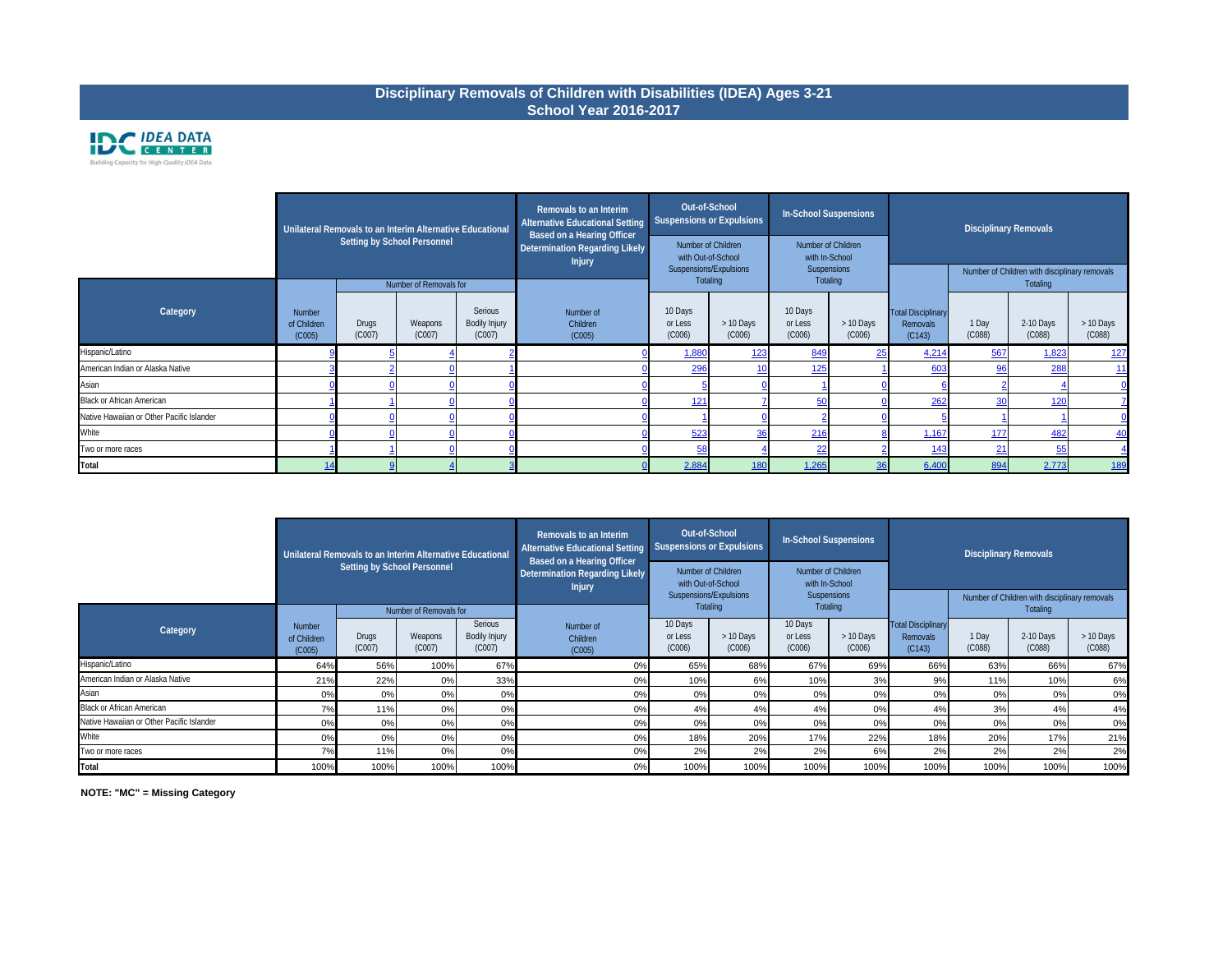**NOTE: "MC" = Missing Category**

| <b>Disciplinary Removals</b> |  |
|------------------------------|--|

## **Disciplinary Removals of Children with Disabilities (IDEA) Ages 3-21 School Year 2016-2017**



|                                           |                                 | Unilateral Removals to an Interim Alternative Educational<br>Setting by School Personnel |                        |                                    | Removals to an Interim<br><b>Alternative Educational Setting</b><br><b>Based on a Hearing Officer</b><br>Determination Regarding Likely<br><b>Injury</b> |                              | Out-of-School<br><b>Suspensions or Expulsions</b><br>Number of Children<br>with Out-of-School | In-School Suspensions<br>Number of Children<br>with In-School |                     |                                                 | <b>Disciplinary Removals</b> |                                                           |                     |
|-------------------------------------------|---------------------------------|------------------------------------------------------------------------------------------|------------------------|------------------------------------|----------------------------------------------------------------------------------------------------------------------------------------------------------|------------------------------|-----------------------------------------------------------------------------------------------|---------------------------------------------------------------|---------------------|-------------------------------------------------|------------------------------|-----------------------------------------------------------|---------------------|
|                                           |                                 |                                                                                          | Number of Removals for |                                    |                                                                                                                                                          |                              | Suspensions/Expulsions<br>Totaling                                                            | Suspensions<br>Totaling                                       |                     |                                                 |                              | Number of Children with disciplinary removals<br>Totaling |                     |
| Category                                  | Number<br>of Children<br>(C005) | <b>Drugs</b><br>(C007)                                                                   | Weapons<br>(C007)      | Serious<br>Bodily Injury<br>(C007) | Number of<br>Children<br>(C005)                                                                                                                          | 10 Days<br>or Less<br>(C006) | > 10 Days<br>(C006)                                                                           | 10 Days<br>or Less<br>(C006)                                  | > 10 Days<br>(C006) | <b>Total Disciplinary</b><br>Removals<br>(C143) | 1 Day<br>(C088)              | 2-10 Days<br>(C088)                                       | > 10 Days<br>(C088) |
| Hispanic/Latino                           |                                 |                                                                                          |                        |                                    |                                                                                                                                                          | 1,880                        | <u>123</u>                                                                                    | 849                                                           |                     | 4,214                                           | 567                          | 1,823                                                     | <u>127</u>          |
| American Indian or Alaska Native          |                                 |                                                                                          |                        |                                    |                                                                                                                                                          | 296                          | 10                                                                                            | 125                                                           |                     | 603                                             | 96                           | 288                                                       |                     |
| Asian                                     |                                 |                                                                                          |                        |                                    |                                                                                                                                                          |                              |                                                                                               |                                                               |                     |                                                 |                              |                                                           |                     |
| <b>Black or African American</b>          |                                 |                                                                                          |                        |                                    |                                                                                                                                                          | 121                          |                                                                                               | 50                                                            |                     | 262                                             | 30                           | 120                                                       |                     |
| Native Hawaiian or Other Pacific Islander |                                 |                                                                                          |                        |                                    |                                                                                                                                                          |                              |                                                                                               |                                                               |                     |                                                 |                              |                                                           |                     |
| White                                     |                                 |                                                                                          |                        |                                    |                                                                                                                                                          | 523                          | 36                                                                                            | 216                                                           |                     | 1,167                                           | 177                          | 482                                                       | 40                  |
| Two or more races                         |                                 |                                                                                          |                        |                                    |                                                                                                                                                          | 58                           |                                                                                               |                                                               |                     | <u>143</u>                                      | 2 <sup>1</sup>               | 55                                                        |                     |
| Total                                     |                                 |                                                                                          |                        |                                    |                                                                                                                                                          | 2,884                        | <b>180</b>                                                                                    | 1,265                                                         |                     | 6,400                                           | 894                          | 2,773                                                     | <u>189</u>          |

|                                           |                                        | Unilateral Removals to an Interim Alternative Educational | Setting by School Personnel |                                    | Removals to an Interim<br><b>Alternative Educational Setting</b><br><b>Based on a Hearing Officer</b><br>Determination Regarding Likely | Suspensions or Expulsions    | Out-of-School<br>Number of Children                             | <b>In-School Suspensions</b><br>Number of Children |                     |                                                 | <b>Disciplinary Removals</b> |                                                                  |                     |
|-------------------------------------------|----------------------------------------|-----------------------------------------------------------|-----------------------------|------------------------------------|-----------------------------------------------------------------------------------------------------------------------------------------|------------------------------|-----------------------------------------------------------------|----------------------------------------------------|---------------------|-------------------------------------------------|------------------------------|------------------------------------------------------------------|---------------------|
|                                           |                                        |                                                           | Number of Removals for      |                                    | <b>Injury</b>                                                                                                                           |                              | with Out-of-School<br>Suspensions/Expulsions<br><b>Totaling</b> | with In-School<br><b>Suspensions</b>               | Totaling            |                                                 |                              | Number of Children with disciplinary removals<br><b>Totaling</b> |                     |
| Category                                  | <b>Number</b><br>of Children<br>(C005) | Drugs<br>(C007)                                           | Weapons<br>(C007)           | Serious<br>Bodily Injury<br>(C007) | Number of<br>Children<br>(C005)                                                                                                         | 10 Days<br>or Less<br>(C006) | > 10 Days<br>(C006)                                             | 10 Days<br>or Less<br>(C006)                       | > 10 Days<br>(C006) | <b>Total Disciplinary</b><br>Removals<br>(C143) | 1 Day<br>(C088)              | 2-10 Days<br>(C088)                                              | > 10 Days<br>(C088) |
| Hispanic/Latino                           | 64%                                    | 56%                                                       | 100%                        | 67%                                | 0%                                                                                                                                      | 65%                          | 68%                                                             | 67%                                                | 69%                 | 66%                                             | 63%                          | 66%                                                              | 67%                 |
| American Indian or Alaska Native          | 21%                                    | 22%                                                       | 0%                          | 33%                                | 0%                                                                                                                                      | 10%                          | 6%                                                              | 10%                                                | 3%                  | 9%                                              | 11%                          | 10%                                                              | 6%                  |
| Asian                                     | 0%                                     | 0%                                                        | 0%                          | 0%                                 | 0%                                                                                                                                      | 0%                           | 0%                                                              | 0%                                                 | 0%                  | 0%                                              | 0%                           | $0\%$                                                            | 0%                  |
| <b>Black or African American</b>          | 7%                                     | 11%                                                       | 0%                          | 0%                                 | 0%                                                                                                                                      | 4%                           | 4%                                                              | 4%                                                 | 0%                  | 4%                                              | 3%                           | 4%                                                               | 4%                  |
| Native Hawaiian or Other Pacific Islander | 0%                                     | 0%                                                        | 0%                          | 0%                                 | 0%                                                                                                                                      | 0%                           | 0%                                                              | 0%                                                 | 0%                  | 0%                                              | 0%                           | 0%                                                               | 0%                  |
| White                                     | 0%                                     | 0%                                                        | 0%                          | 0%                                 | 0%                                                                                                                                      | 18%                          | 20%                                                             | 17%                                                | 22%                 | 18%                                             | 20%                          | 17%                                                              | 21%                 |
| Two or more races                         | 7%                                     | 11%                                                       | 0%                          | 0%                                 | 0%                                                                                                                                      | 2%                           | 2%                                                              | 2%                                                 | 6%                  | 2%                                              | 2%                           | 2%                                                               | 2%                  |
| Total                                     | 100%                                   | 100%                                                      | 100%                        | 100%                               | 0%                                                                                                                                      | 100%                         | 100%                                                            | 100%                                               | 100%                | 100%                                            | 100%                         | 100%                                                             | 100%                |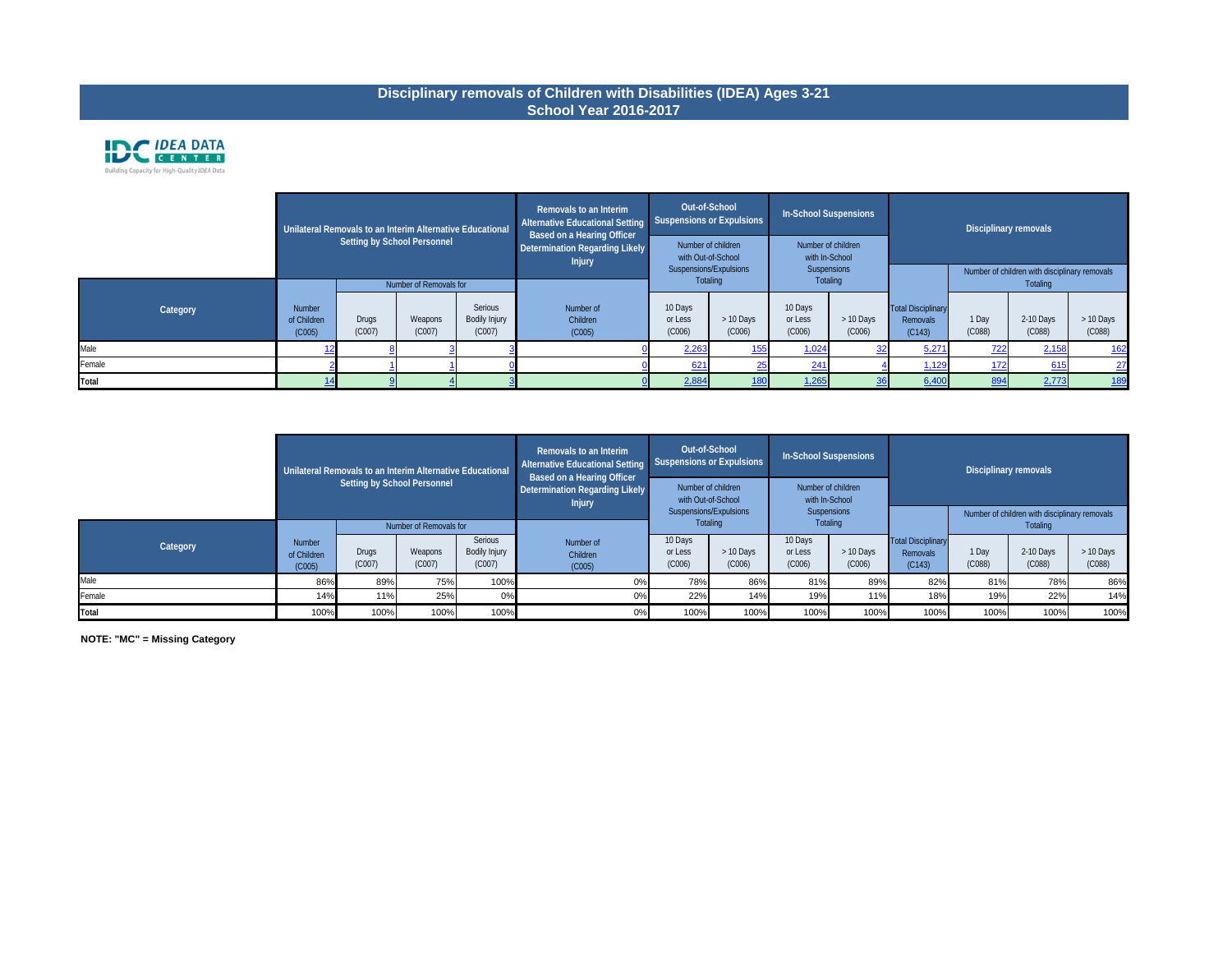**NOTE: "MC" = Missing Category**

|          |                                        |                 | Unilateral Removals to an Interim Alternative Educational<br>Setting by School Personnel |                                           | Removals to an Interim<br><b>Alternative Educational Setting</b><br><b>Based on a Hearing Officer</b><br>Determination Regarding Likely | Out-of-School<br><b>Suspensions or Expulsions</b><br>Number of children |                     | In-School Suspensions<br>Number of children |                       |                                                 | Disciplinary removals |                                                           |                     |  |
|----------|----------------------------------------|-----------------|------------------------------------------------------------------------------------------|-------------------------------------------|-----------------------------------------------------------------------------------------------------------------------------------------|-------------------------------------------------------------------------|---------------------|---------------------------------------------|-----------------------|-------------------------------------------------|-----------------------|-----------------------------------------------------------|---------------------|--|
|          |                                        |                 | Number of Removals for                                                                   |                                           | with Out-of-School<br>with In-School<br><b>Injury</b><br>Suspensions/Expulsions<br>Suspensions<br>Totaling<br>Totaling                  |                                                                         |                     |                                             |                       |                                                 |                       | Number of children with disciplinary removals<br>Totaling |                     |  |
| Category | <b>Number</b><br>of Children<br>(C005) | Drugs<br>(C007) | Weapons<br>(C007)                                                                        | Serious<br><b>Bodily Injury</b><br>(C007) | Number of<br>Children<br>(C005)                                                                                                         | 10 Days<br>or Less<br>(C006)                                            | > 10 Days<br>(C006) | 10 Days<br>or Less<br>(C006)                | $> 10$ Days<br>(C006) | <b>Total Disciplinary</b><br>Removals<br>(C143) | 1 Day<br>(C088)       | 2-10 Days<br>(C088)                                       | > 10 Days<br>(C088) |  |
| Male     |                                        |                 |                                                                                          |                                           |                                                                                                                                         | 2,263                                                                   | <u>155</u>          | 1,024                                       |                       | 5,271                                           | 722                   | 2,158                                                     | <u>162</u>          |  |
| Female   |                                        |                 |                                                                                          |                                           |                                                                                                                                         | 621                                                                     | 25                  | 241                                         |                       | 1,129                                           | 172                   | 615                                                       | 27                  |  |
| Total    |                                        |                 |                                                                                          |                                           |                                                                                                                                         | 2,884                                                                   | <u>180</u>          | 1,265                                       |                       | 6,400                                           | 894                   | 2,773                                                     | <u>189</u>          |  |

# **Disciplinary removals of Children with Disabilities (IDEA) Ages 3-21 School Year 2016-2017**



|          |                                        | Unilateral Removals to an Interim Alternative Educational<br>Setting by School Personnel |                        |                                    | Removals to an Interim<br>Alternative Educational Setting<br><b>Based on a Hearing Officer</b><br>Determination Regarding Likely<br><b>Injury</b> | Out-of-School<br>Suspensions or Expulsions<br>Number of children<br>with Out-of-School |                                                               | In-School Suspensions<br>Number of children<br>with In-School |                                                           |                                                 | Disciplinary removals |                     |                     |
|----------|----------------------------------------|------------------------------------------------------------------------------------------|------------------------|------------------------------------|---------------------------------------------------------------------------------------------------------------------------------------------------|----------------------------------------------------------------------------------------|---------------------------------------------------------------|---------------------------------------------------------------|-----------------------------------------------------------|-------------------------------------------------|-----------------------|---------------------|---------------------|
|          |                                        |                                                                                          | Number of Removals for |                                    |                                                                                                                                                   |                                                                                        | Suspensions/Expulsions<br>Suspensions<br>Totaling<br>Totaling |                                                               | Number of children with disciplinary removals<br>Totaling |                                                 |                       |                     |                     |
| Category | <b>Number</b><br>of Children<br>(C005) | Drugs<br>(C007)                                                                          | Weapons<br>(C007)      | Serious<br>Bodily Injury<br>(C007) | Number of<br>Children<br>(C005)                                                                                                                   | 10 Days<br>or Less<br>(C006)                                                           | > 10 Days<br>(C006)                                           | 10 Days<br>or Less<br>(C006)                                  | > 10 Days<br>(C006)                                       | <b>Total Disciplinary</b><br>Removals<br>(C143) | 1 Day<br>(C088)       | 2-10 Days<br>(C088) | > 10 Days<br>(C088) |
| Male     | 86%                                    | 89%                                                                                      | 75%                    | 100%                               | 0%                                                                                                                                                | 78%                                                                                    | 86%                                                           | 81%                                                           | 89%                                                       | 82%                                             | 81%                   | 78%                 | 86%                 |
| Female   | 14%                                    | 11%                                                                                      | 25%                    | 0%                                 | 0%l                                                                                                                                               | 22%                                                                                    | 14%                                                           | 19%                                                           | 11%                                                       | 18%                                             | 19%                   | 22%                 | 14%                 |
| Total    | 100%                                   | 100%                                                                                     | 100%                   | 100%                               | 0%                                                                                                                                                | 100%                                                                                   | 100%                                                          | 100%                                                          | 100%                                                      | 100%                                            | 100%                  | 100%                | 100%                |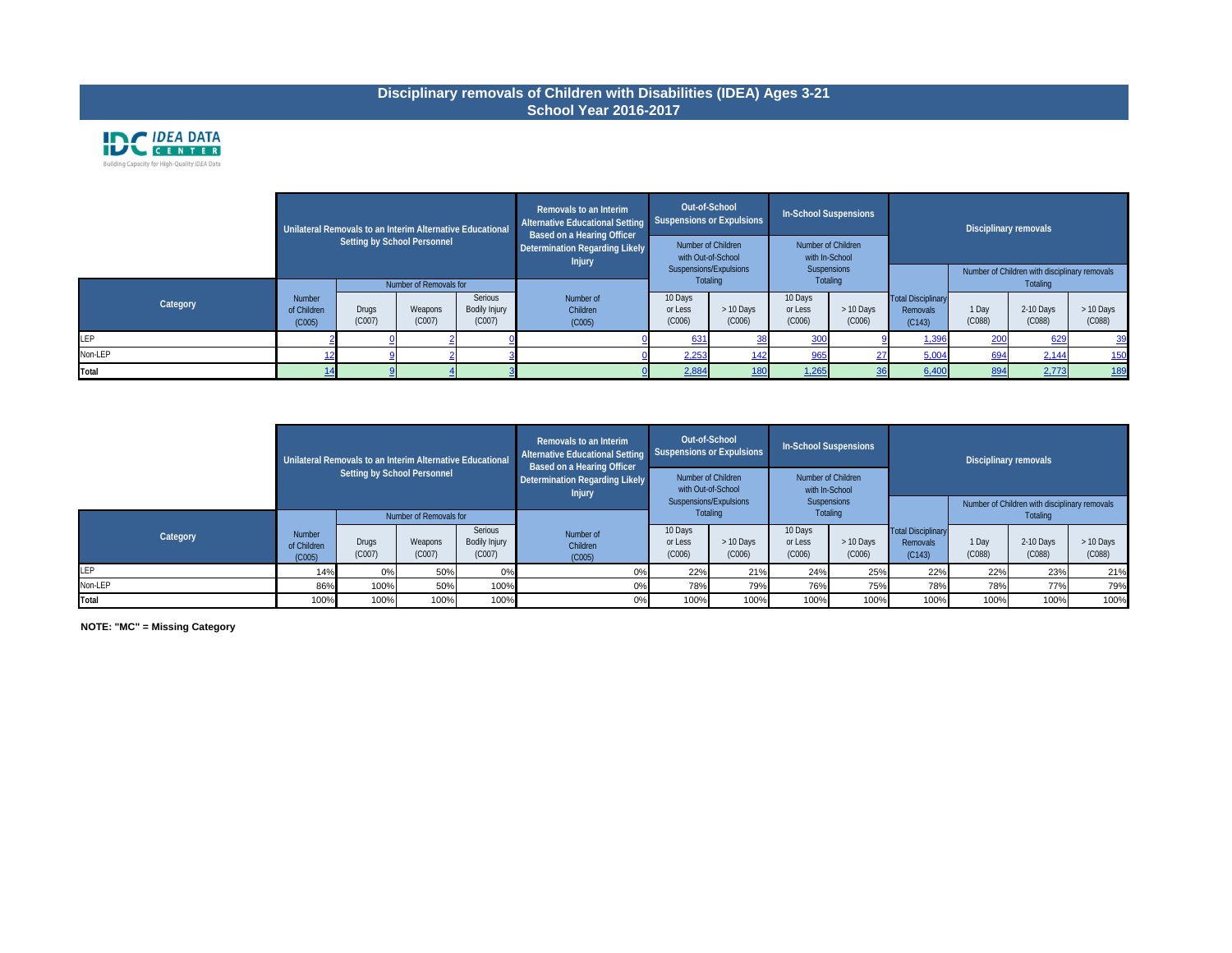# **Disciplinary removals of Children with Disabilities (IDEA) Ages 3-21 School Year 2016-2017**



|           | Unilateral Removals to an Interim Alternative Educational |              |                             |               | Removals to an Interim<br><b>Alternative Educational Setting</b><br><b>Based on a Hearing Officer</b> | Out-of-School<br><b>Suspensions or Expulsions</b> |                    | In-School Suspensions                |            |                           | Disciplinary removals |                                               |            |
|-----------|-----------------------------------------------------------|--------------|-----------------------------|---------------|-------------------------------------------------------------------------------------------------------|---------------------------------------------------|--------------------|--------------------------------------|------------|---------------------------|-----------------------|-----------------------------------------------|------------|
|           |                                                           |              | Setting by School Personnel |               | Determination Regarding Likely<br><b>Injury</b>                                                       | with Out-of-School                                | Number of Children | Number of Children<br>with In-School |            |                           |                       |                                               |            |
|           |                                                           |              |                             |               |                                                                                                       | Suspensions/Expulsions<br><b>Totaling</b>         |                    | Suspensions<br><b>Totaling</b>       |            |                           |                       | Number of Children with disciplinary removals |            |
|           |                                                           |              | Number of Removals for      |               |                                                                                                       |                                                   |                    |                                      |            |                           |                       | Totaling                                      |            |
| Category  | Number                                                    |              |                             | Serious       | Number of                                                                                             | 10 Days                                           |                    | 10 Days                              |            | <b>Total Disciplinary</b> |                       |                                               |            |
|           | of Children                                               | <b>Drugs</b> | Weapons                     | Bodily Injury | Children                                                                                              | or Less                                           | > 10 Days          | or Less                              | $>10$ Days | Removals                  | 1 Day                 | 2-10 Days                                     | > 10 Days  |
|           | (C005)                                                    | (C007)       | (C007)                      | (C007)        | (C005)                                                                                                | (C006)                                            | (C006)             | (C006)                               | (C006)     | (C143)                    | (C088)                | (C088)                                        | (C088)     |
| <b>EP</b> |                                                           |              |                             |               |                                                                                                       | 631                                               | 38                 | 300                                  |            | 1,396                     | 200                   | 629                                           | <u>39</u>  |
| Non-LEP   |                                                           |              |                             |               |                                                                                                       | 2,253                                             | <u>142</u>         | 965                                  |            | 5,004                     | 694                   | 2,144                                         | <u>150</u> |
| Total     |                                                           |              |                             |               |                                                                                                       | 2,884                                             | <u>180</u>         | 1,265                                |            | 6,400                     | 894                   | 2,773                                         | <u>189</u> |

|              |                                 | Unilateral Removals to an Interim Alternative Educational<br>Setting by School Personnel |                        |                                           | Removals to an Interim<br><b>Alternative Educational Setting</b><br><b>Based on a Hearing Officer</b><br>Determination Regarding Likely<br><b>Injury</b> | Out-of-School<br>Suspensions or Expulsions<br>Number of Children<br>with Out-of-School |                     | In-School Suspensions<br>Number of Children<br>with In-School |                     |                                                 | Disciplinary removals |                     |                     |  |  |  |  |                                                           |  |
|--------------|---------------------------------|------------------------------------------------------------------------------------------|------------------------|-------------------------------------------|----------------------------------------------------------------------------------------------------------------------------------------------------------|----------------------------------------------------------------------------------------|---------------------|---------------------------------------------------------------|---------------------|-------------------------------------------------|-----------------------|---------------------|---------------------|--|--|--|--|-----------------------------------------------------------|--|
|              |                                 |                                                                                          | Number of Removals for |                                           |                                                                                                                                                          | Suspensions/Expulsions<br><b>Totaling</b>                                              |                     | Totaling                                                      |                     | Suspensions                                     |                       |                     |                     |  |  |  |  | Number of Children with disciplinary removals<br>Totaling |  |
| Category     | Number<br>of Children<br>(C005) | <b>Drugs</b><br>(C007)                                                                   | Weapons<br>(C007)      | Serious<br><b>Bodily Injury</b><br>(C007) | Number of<br>Children<br>(C005)                                                                                                                          | 10 Days<br>or Less<br>(C006)                                                           | > 10 Days<br>(C006) | 10 Days<br>or Less<br>(C006)                                  | > 10 Days<br>(C006) | <b>Total Disciplinary</b><br>Removals<br>(C143) | 1 Day<br>(C088)       | 2-10 Days<br>(C088) | > 10 Days<br>(C088) |  |  |  |  |                                                           |  |
| <b>LEP</b>   | 14%                             | 0%                                                                                       | 50%                    | 0%                                        | $0\%$                                                                                                                                                    | 22%                                                                                    | 21%                 | 24%                                                           | 25%                 | 22%                                             | 22%                   | 23%                 | 21%                 |  |  |  |  |                                                           |  |
| Non-LEP      | 86%                             | 100%                                                                                     | 50%                    | 100%                                      | 0%                                                                                                                                                       | 78%                                                                                    | 79%                 | 76%                                                           | 75%                 | 78%                                             | 78%                   | 77%                 | 79%                 |  |  |  |  |                                                           |  |
| <b>Total</b> | 100%                            | 100%                                                                                     | 100%                   | 100%                                      | 0%                                                                                                                                                       | 100%                                                                                   | 100%                | 100%                                                          | 100%                | 100%                                            | 100%                  | 100%                | 100%                |  |  |  |  |                                                           |  |